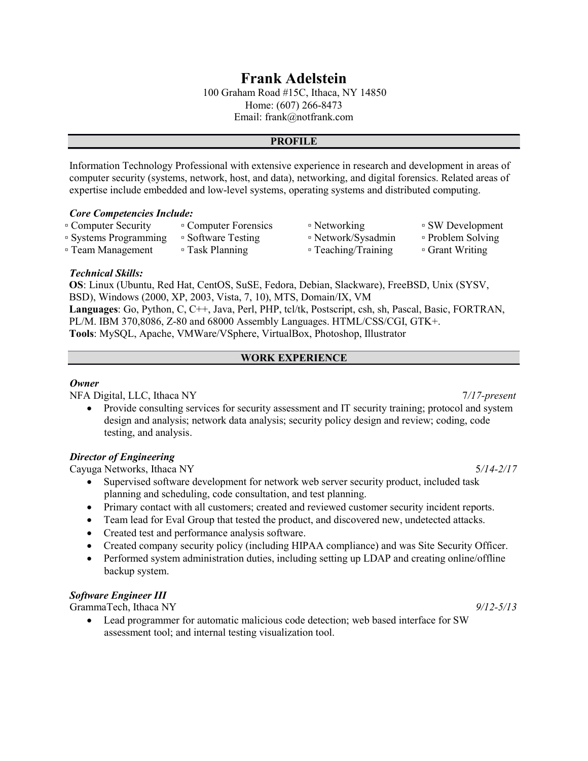# Frank Adelstein

100 Graham Road #15C, Ithaca, NY 14850 Home: (607) 266-8473 Email: frank@notfrank.com

#### PROFILE

Information Technology Professional with extensive experience in research and development in areas of computer security (systems, network, host, and data), networking, and digital forensics. Related areas of expertise include embedded and low-level systems, operating systems and distributed computing.

#### Core Competencies Include:

| □ Computer Security   | • Computer Forensics | ■ Networking        | ■ SW Development  |
|-----------------------|----------------------|---------------------|-------------------|
| ■ Systems Programming | ■ Software Testing   | □ Network/Sysadmin  | • Problem Solving |
| □ Team Management     | □ Task Planning      | • Teaching/Training | □ Grant Writing   |

### Technical Skills:

OS: Linux (Ubuntu, Red Hat, CentOS, SuSE, Fedora, Debian, Slackware), FreeBSD, Unix (SYSV, BSD), Windows (2000, XP, 2003, Vista, 7, 10), MTS, Domain/IX, VM Languages: Go, Python, C, C++, Java, Perl, PHP, tcl/tk, Postscript, csh, sh, Pascal, Basic, FORTRAN, PL/M. IBM 370,8086, Z-80 and 68000 Assembly Languages. HTML/CSS/CGI, GTK+. Tools: MySQL, Apache, VMWare/VSphere, VirtualBox, Photoshop, Illustrator

### WORK EXPERIENCE

#### **Owner**

NFA Digital, LLC, Ithaca NY 7/17-present

• Provide consulting services for security assessment and IT security training; protocol and system design and analysis; network data analysis; security policy design and review; coding, code testing, and analysis.

### Director of Engineering

Cayuga Networks, Ithaca NY 5/14-2/17

- Supervised software development for network web server security product, included task planning and scheduling, code consultation, and test planning.
- Primary contact with all customers; created and reviewed customer security incident reports.
- Team lead for Eval Group that tested the product, and discovered new, undetected attacks.
- Created test and performance analysis software.
- Created company security policy (including HIPAA compliance) and was Site Security Officer.
- Performed system administration duties, including setting up LDAP and creating online/offline backup system.

### Software Engineer III

GrammaTech, Ithaca NY 9/12-5/13

 Lead programmer for automatic malicious code detection; web based interface for SW assessment tool; and internal testing visualization tool.